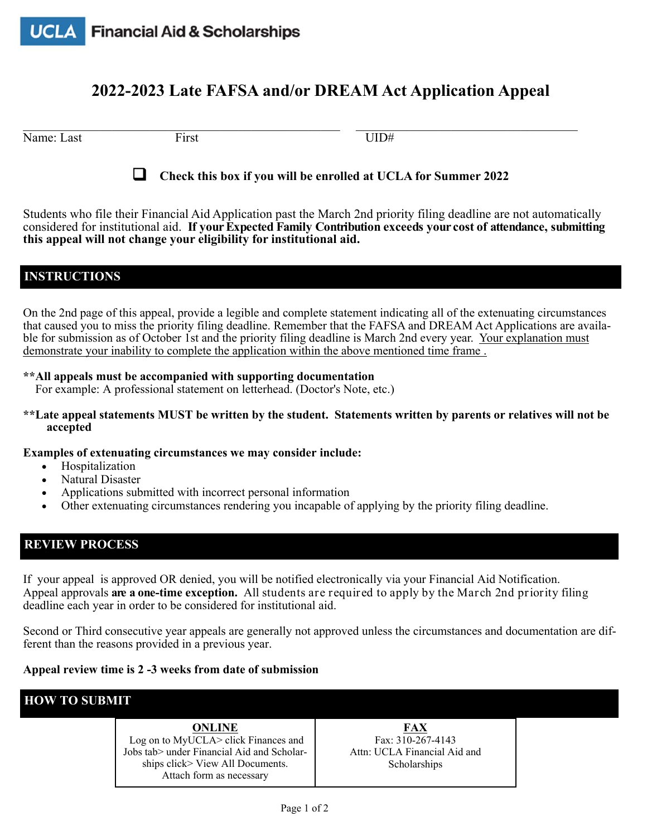# **2022-2023 Late FAFSA and/or DREAM Act Application Appeal**

Name: Last First First UID#

 $\_$  , and the state of the state of the state of the state of the state of the state of the state of the state of the state of the state of the state of the state of the state of the state of the state of the state of the



**Check this box if you will be enrolled at UCLA for Summer 2022** 

Students who file their Financial Aid Application past the March 2nd priority filing deadline are not automatically considered for institutional aid. **If your Expected Family Contribution exceeds your cost of attendance, submitting this appeal will not change your eligibility for institutional aid.** 

### **INSTRUCTIONS**

On the 2nd page of this appeal, provide a legible and complete statement indicating all of the extenuating circumstances that caused you to miss the priority filing deadline. Remember that the FAFSA and DREAM Act Applications are available for submission as of October 1st and the priority filing deadline is March 2nd every year. Your explanation must demonstrate your inability to complete the application within the above mentioned time frame .

#### **\*\*All appeals must be accompanied with supporting documentation**

For example: A professional statement on letterhead. (Doctor's Note, etc.)

**\*\*Late appeal statements MUST be written by the student. Statements written by parents or relatives will not be accepted** 

**Examples of extenuating circumstances we may consider include:**

- Hospitalization
- Natural Disaster
- Applications submitted with incorrect personal information
- Other extenuating circumstances rendering you incapable of applying by the priority filing deadline.

## **REVIEW PROCESS**

If your appeal is approved OR denied, you will be notified electronically via your Financial Aid Notification. Appeal approvals **are a one-time exception.** All students are required to apply by the March 2nd priority filing deadline each year in order to be considered for institutional aid.

Second or Third consecutive year appeals are generally not approved unless the circumstances and documentation are different than the reasons provided in a previous year.

### **Appeal review time is 2 -3 weeks from date of submission**

## **HOW TO SUBMIT**

### **ONLINE**

 Log on to MyUCLA> click Finances and Jobs tab> under Financial Aid and Scholarships click> View All Documents. Attach form as necessary

**FAX**  Fax: 310-267-4143 Attn: UCLA Financial Aid and Scholarships